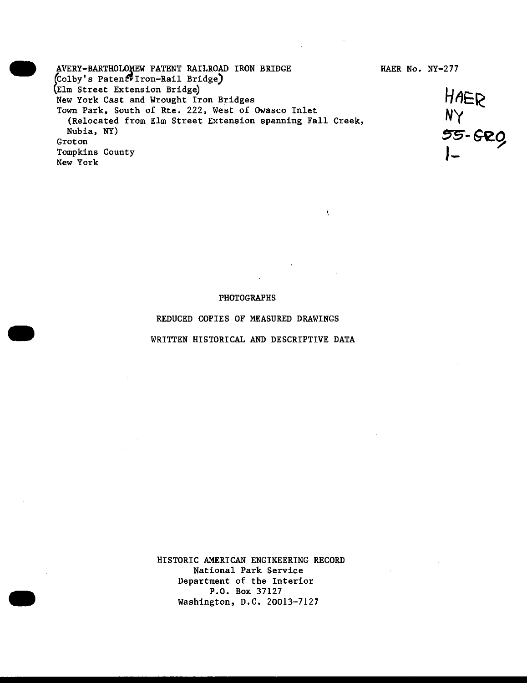AVERY-BARTHOLOMEW PATENT RAILROAD IRON BRIDGE HAER No. NY-277 (Colby's Patent Iron-Rail Bridge) (Elm Street Extension Bridge)<br>New York Cast and Wrought Iron Bridges<br>  $\mathcal{H}$ AER New York Cast and Wrought Iron Bridges Town Park, South of Rte. 222, West of Owasco Inlet (Relocated from Elm Street Extension spanning Fall Creek, wn Park, South of Rte. 222, West of Owasco Inlet<br>
(Relocated from Elm Street Extension spanning Fall Creek,<br>
Nubia, NY)<br>
Coton<br>
Mexicon<br>
SS-GRO Groton Tompkins County New York

### PHOTOGRAPHS

ł.

## REDUCED COPIES OF MEASURED DRAWINGS

### WRITTEN HISTORICAL AND DESCRIPTIVE DATA

HISTORIC AMERICAN ENGINEERING RECORD National Park Service Department of the Interior P.O. Box 37127 Washington, D.C. 20013-7127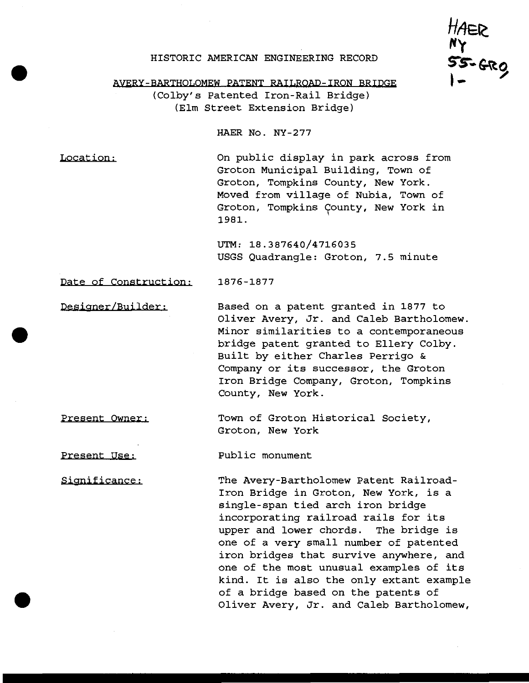## HISTORIC AMERICAN ENGINEERING RECORD

**///tefc I- '**

AVERY-BARTHOLOMEW PATENT RAILROAD-IRON BRIDGE

(Colby's Patented Iron-Rail Bridge) (Elm Street Extension Bridge)

HAER No. NY-277

Location: On public display in park across from Groton Municipal Building, Town of Groton, Tompkins County, New York. Moved from village of Nubia, Town of Groton, Tompkins County, New York in 1981.

> UTM: 18.387640/4716035 USGS Quadrangle: Groton, 7.5 minute

Date of Construction: 1876-1877

Designer/Builder: Based on a patent granted in 1877 to Oliver Avery, Jr. and Caleb Bartholomew. Minor similarities to a contemporaneous bridge patent granted to Ellery Colby. Built by either Charles Perrigo & Company or its successor, the Groton Iron Bridge Company, Groton, Tompkins

Present Owner: Town of Groton Historical Society,

County, New York.

Public monument

Present Use:

Significance:

Groton, New York

The Avery-Bartholomew Patent Railroad-Iron Bridge in Groton, New York, is a single-span tied arch iron bridge incorporating railroad rails for its upper and lower chords. The bridge is one of a very small number of patented iron bridges that survive anywhere, and one of the most unusual examples of its kind. It is also the only extant example of a bridge based on the patents of Oliver Avery, Jr. and Caleb Bartholomew,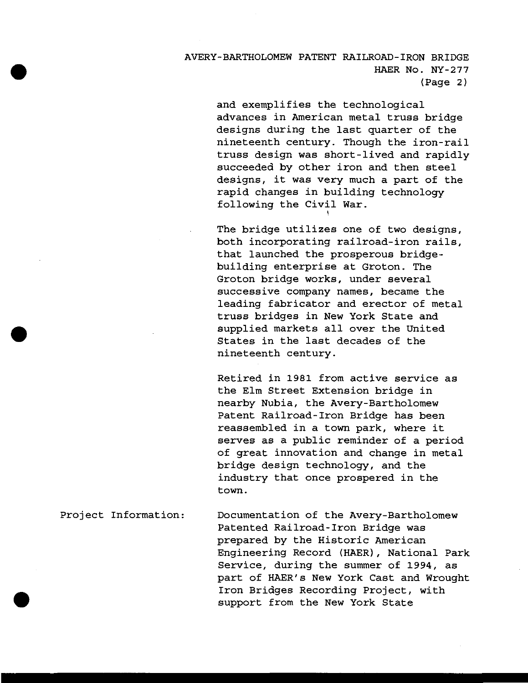# AVERY-BARTHOLOMEW PATENT RAILROAD-IRON BRIDGE HAER No. NY-277 (Page 2)

and exemplifies the technological advances in American metal truss bridge designs during the last quarter of the nineteenth century. Though the iron-rail truss design was short-lived and rapidlysucceeded by other iron and then steel designs, it was very much a part of the rapid changes in building technology following the Civil War.

The bridge utilizes one of two designs, both incorporating railroad-iron rails, that launched the prosperous bridgebuilding enterprise at Groton. The Groton bridge works, under several successive company names, became the leading fabricator and erector of metal truss bridges in New York State and supplied markets all over the United States in the last decades of the nineteenth century.

Retired in 1981 from active service as the Elm Street Extension bridge in nearby Nubia, the Avery-Bartholomew Patent Railroad-Iron Bridge has been reassembled in a town park, where it serves as a public reminder of a period of great innovation and change in metal bridge design technology, and the industry that once prospered in the town.

Project Information: Documentation of the Avery-Bartholomew Patented Railroad-Iron Bridge was prepared by the Historic American Engineering Record (HAER), National Park Service, during the summer of 1994, as part of HAER's New York Cast and Wrought Iron Bridges Recording Project, with support from the New York State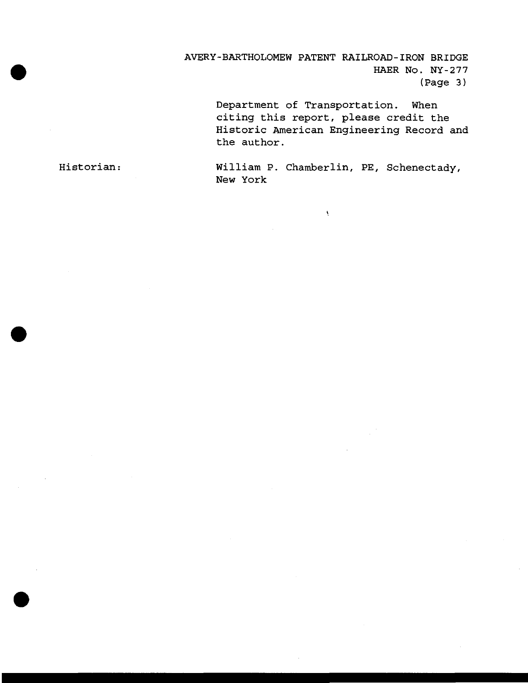AVERY-BARTHOLOMEW PATENT RAILROAD-IRON BRIDGE HAER No. NY-277 (Page 3)

> Department of Transportation. When citing this report, please credit the Historic American Engineering Record and the author.

Historian: William P. Chamberlin, PE, Schenectady, New York

 $\bar{\Lambda}$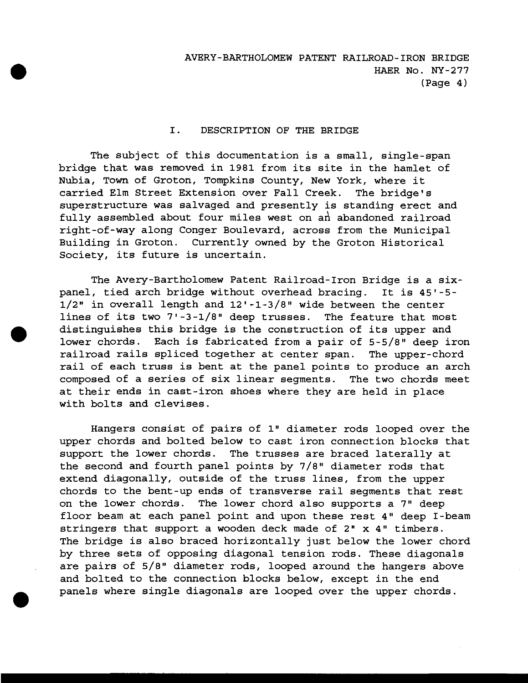### I. DESCRIPTION OF THE BRIDGE

The subject of this documentation is a small, single-span bridge that was removed in 1981 from its site in the hamlet of Nubia, Town of Groton, Tompkins County, New York, where it carried Elm Street Extension over Fall Creek. The bridge's superstructure was salvaged and presently is standing erect and fully assembled about four miles west on an abandoned railroad right-of-way along Conger Boulevard, across from the Municipal Building in Groton. Currently owned by the Groton Historical Society, its future is uncertain.

The Avery-Bartholomew Patent Railroad-Iron Bridge is a sixpanel, tied arch bridge without overhead bracing. It is 45'-5- 1/2" in overall length and 12'-1-3/8" wide between the center lines of its two 7'-3-1/8" deep trusses. The feature that most distinguishes this bridge is the construction of its upper and lower chords. Each is fabricated from a pair of 5-5/8" deep iron railroad rails spliced together at center span. The upper-chord rail of each truss is bent at the panel points to produce an arch composed of a series of six linear segments. The two chords meet at their ends in cast-iron shoes where they are held in place with bolts and clevises.

Hangers consist of pairs of 1" diameter rods looped over the upper chords and bolted below to cast iron connection blocks that support the lower chords. The trusses are braced laterally at the second and fourth panel points by 7/8" diameter rods that extend diagonally, outside of the truss lines, from the upper chords to the bent-up ends of transverse rail segments that rest on the lower chords. The lower chord also supports a 7" deep floor beam at each panel point and upon these rest 4" deep I-beam stringers that support a wooden deck made of 2" x 4" timbers. The bridge is also braced horizontally just below the lower chord by three sets of opposing diagonal tension rods. These diagonals are pairs of 5/8" diameter rods, looped around the hangers above and bolted to the connection blocks below, except in the end panels where single diagonals are looped over the upper chords.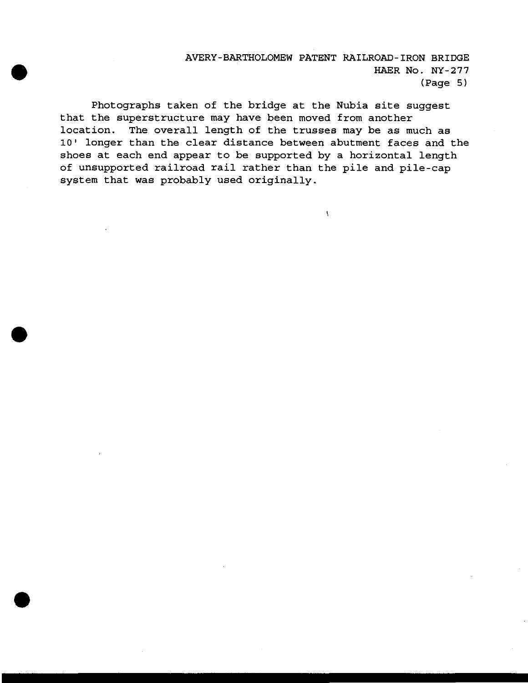# AVERY-BARTHOLOMEW PATENT RAILROAD-IRON BRIDGE HAER No. NY-277 (Page 5)

 $\bar{\Lambda}$ 

Photographs taken of the bridge at the Nubia site suggest that the superstructure may have been moved from another location. The overall length of the trusses may be as much as 10' longer than the clear distance between abutment faces and the shoes at each end appear to be supported by a horizontal length of unsupported railroad rail rather than the pile and pile-cap system that was probably used originally.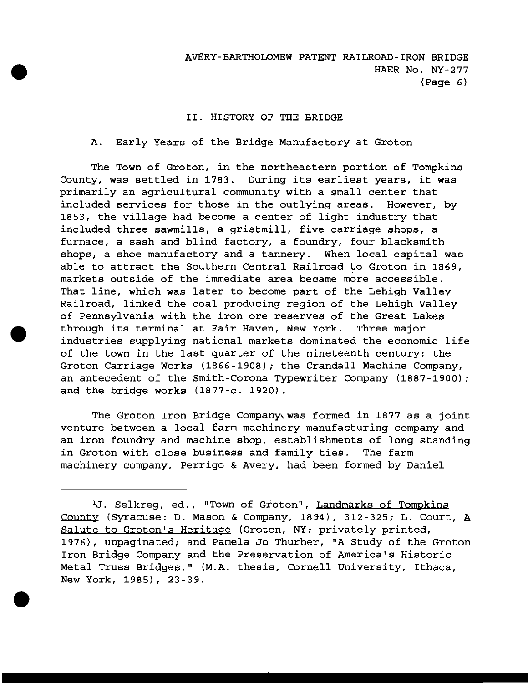### II. HISTORY OF THE BRIDGE

### A. Early Years of the Bridge Manufactory at Groton

The Town of Groton, in the northeastern portion of Tompkins County, was settled in 1783. During its earliest years, it was primarily an agricultural community with a small center that included services for those in the outlying areas. However, by 1853, the village had become a center of light industry that included three sawmills, a gristmill, five carriage shops, a furnace, a sash and blind factory, a foundry, four blacksmith shops, a shoe manufactory and a tannery. When local capital was able to attract the Southern Central Railroad to Groton in 1869, markets outside of the immediate area became more accessible. That line, which was later to become part of the Lehigh Valley Railroad, linked the coal producing region of the Lehigh Valley of Pennsylvania with the iron ore reserves of the Great Lakes through its terminal at Fair Haven, New York. Three major industries supplying national markets dominated the economic life of the town in the last quarter of the nineteenth century: the Groton Carriage Works (1866-1908); the Crandall Machine Company, an antecedent of the Smith-Corona Typewriter Company (1887-1900); and the bridge works  $(1877-c. 1920)$ .<sup>1</sup>

The Groton Iron Bridge Company was formed in 1877 as a joint venture between a local farm machinery manufacturing company and an iron foundry and machine shop, establishments of long standing in Groton with close business and family ties. The farm machinery company, Perrigo & Avery, had been formed by Daniel

*X J.* Selkreg, ed., "Town of Groton", Landmarks of Tompkins County (Syracuse: D. Mason & Company, 1894), 312-325; L. Court, *h* Salute to Groton's Heritage (Groton, NY: privately printed, 1976), unpaginated; and Pamela Jo Thurber, "A Study of the Groton Iron Bridge Company and the Preservation of America's Historic Metal Truss Bridges," (M.A. thesis, Cornell University, Ithaca, New York, 1985), 23-39.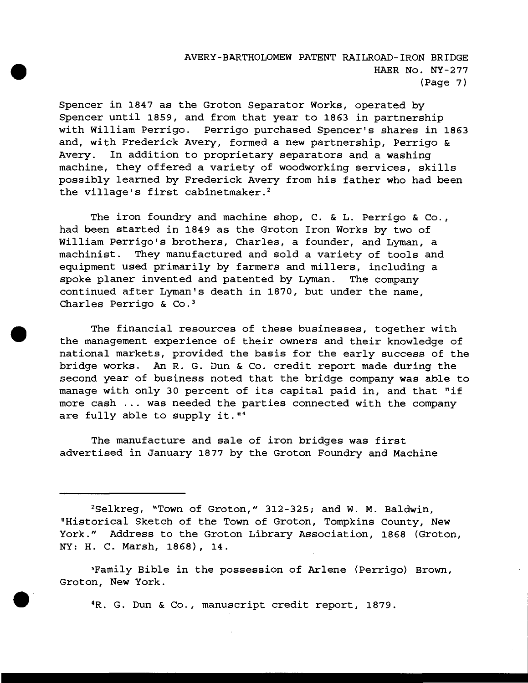# AVERY-BARTHOLOMEW PATENT RAILROAD-IRON BRIDGE HAER No. NY-277 (Page 7)

Spencer in 1847 as the Groton Separator Works, operated by-Spencer until 1859, and from that year to 1863 in partnership with William Perrigo. Perrigo purchased Spencer's shares in 1863 and, with Frederick Avery, formed a new partnership, Perrigo & Avery. In addition to proprietary separators and a washing machine, they offered a variety of woodworking services, skills possibly learned by Frederick Avery from his father who had been the village's first cabinetmaker.<sup>2</sup>

The iron foundry and machine shop, C. & L. Perrigo & Co., had been started in 1849 as the Groton Iron Works by two of William Perrigo's brothers, Charles, a founder, and Lyman, a machinist. They manufactured and sold a variety of tools and equipment used primarily by farmers and millers, including a spoke planer invented and patented by Lyman. The company continued after Lyman's death in 1870, but under the name, Charles Perrigo & Co.<sup>3</sup>

The financial resources of these businesses, together with the management experience of their owners and their knowledge of national markets, provided the basis for the early success of the bridge works. An R. G. Dun & Co. credit report made during the second year of business noted that the bridge company was able to manage with only 30 percent of its capital paid in, and that "if more cash ... was needed the parties connected with the company are fully able to supply it."<sup>4</sup>

The manufacture and sale of iron bridges was first advertised in January 1877 by the Groton Foundry and Machine

<sup>2</sup>Selkreg, "Town of Groton," 312-325; and W. M. Baldwin, "Historical Sketch of the Town of Groton, Tompkins County, New York." Address to the Groton Library Association, 1868 (Groton, NY: H. C. Marsh, 1868), 14.

<sup>3</sup>Family Bible in the possession of Arlene (Perrigo) Brown, Groton, New York.

<sup>4</sup>R. G. Dun & Co., manuscript credit report, 1879.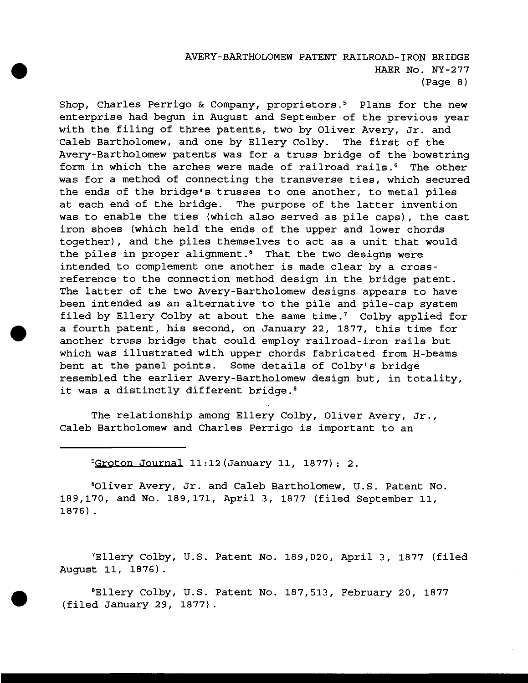## AVERY-BARTHOLOMEW PATENT RAILROAD-IRON BRIDGE HAER No. NY-277 (Page 8)

Shop, Charles Perrigo & Company, proprietors.<sup>5</sup> Plans for the new enterprise had begun in August and September of the previous year with the filing of three patents, two by Oliver Avery, Jr. and Caleb Bartholomew, and one by Ellery Colby. The first of the Avery-Bartholomew patents was for a truss bridge of the bowstring form in which the arches were made of railroad rails.<sup>6</sup> The other was for a method of connecting the transverse ties, which secured the ends of the bridge's trusses to one another, to metal piles at each end of the bridge. The purpose of the latter invention was to enable the ties (which also served as pile caps), the cast iron shoes {which held the ends of the upper and lower chords together), and the piles themselves to act as a unit that would the piles in proper alignment.<sup>6</sup> That the two designs were intended to complement one another is made clear by a crossreference to the connection method design in the bridge patent. The latter of the two Avery-Bartholomew designs appears to have been intended as an alternative to the pile and pile-cap system filed by Ellery Colby at about the same time.<sup>7</sup> Colby applied for a fourth patent, his second, on January 22, 1877, this time for another truss bridge that could employ railroad-iron rails but which was illustrated with upper chords fabricated from H-beams bent at the panel points. Some details of Colby's bridge resembled the earlier Avery-Bartholomew design but, in totality, it was a distinctly different bridge.<sup>8</sup>

The relationship among Ellery Colby, Oliver Avery, Jr., Caleb Bartholomew and Charles Perrigo is important to an

 $5G$ roton Journal 11:12 (January 11, 1877): 2.

<sup>6</sup>0liver Avery, Jr. and Caleb Bartholomew, U.S. Patent No. 189,170, and No. 189,171, April 3, 1877 (filed September 11, 1876).

<sup>7</sup>Ellery Colby, U.S. Patent No. 189,020, April 3, 1877 {filed August 11, 1876).

<sup>8</sup>Ellery Colby, U.S. Patent No. 187,513, February 20, 1877 (filed January 29, 1877).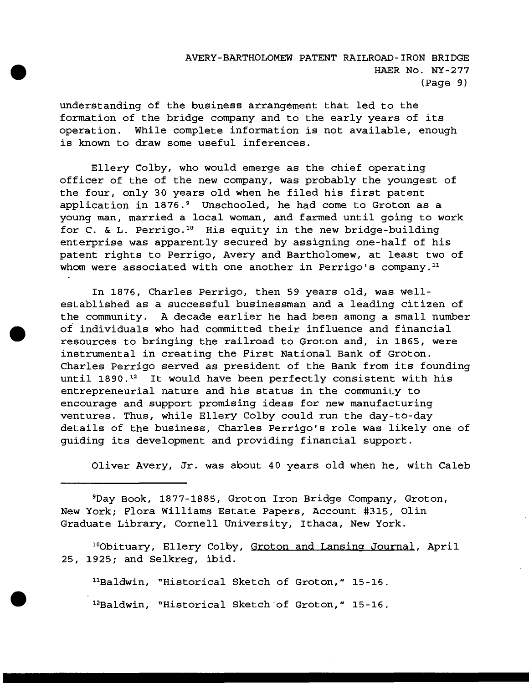understanding of the business arrangement that led to the formation of the bridge company and to the early years of its operation. While complete information is not available, enough is known to draw some useful inferences.

Ellery Colby, who would emerge as the chief operating officer of the of the new company, was probably the youngest of the four, only 30 years old when he filed his first patent application in 1876.<sup>9</sup> Unschooled, he had come to Groton as a young man, married a local woman, and farmed until going to work for C. & L. Perrigo.<sup>10</sup> His equity in the new bridge-building enterprise was apparently secured by assigning one-half of his patent rights to Perrigo, Avery and Bartholomew, at least two of whom were associated with one another in Perrigo's company.<sup>11</sup>

In 1876, Charles Perrigo, then 59 years old, was wellestablished as a successful businessman and a leading citizen of the community. A decade earlier he had been among a small number of individuals who had committed their influence and financial resources to bringing the railroad to Groton and, in 1865, were instrumental in creating the First National Bank of Groton. Charles Perrigo served as president of the Bank from its founding until  $1890.^{12}$  It would have been perfectly consistent with his entrepreneurial nature and his status in the community to encourage and support promising ideas for new manufacturing ventures. Thus, while Ellery Colby could run the day-to-day details of the business, Charles Perrigo's role was likely one of guiding its development and providing financial support.

Oliver Avery, Jr. was about 40 years old when he, with Caleb

<sup>9</sup>Day Book, 1877-1885, Groton Iron Bridge Company, Groton, New York; Flora Williams Estate Papers, Account #315, Olin Graduate Library, Cornell University, Ithaca, New York.

10Obituary, Ellery Colby, Groton and Lansing Journal, April 25, 1925; and Selkreg, ibid.

 $11B$ Baldwin, "Historical Sketch of Groton," 15-16.

<sup>12</sup>Baldwin, "Historical Sketch of Groton," 15-16.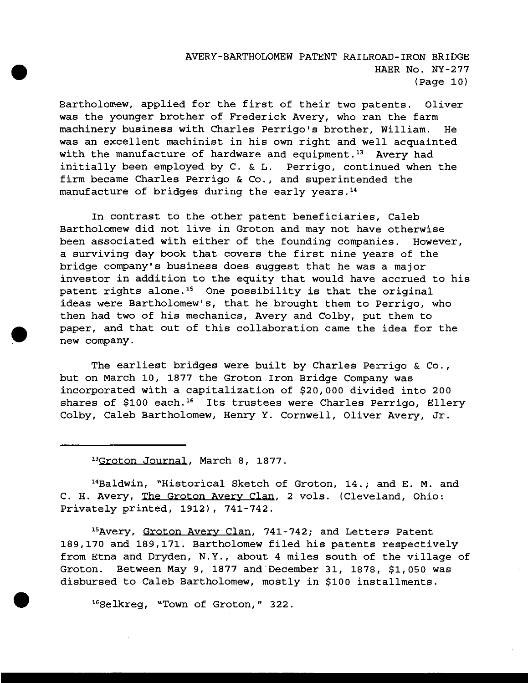AVERY-BARTHOLOMEW PATENT RAILROAD-IRON BRIDGE HAER No. NY-277 (Page 10)

Bartholomew, applied for the first of their two patents. Oliver was the younger brother of Frederick Avery, who ran the farm machinery business with Charles Perrigo's brother, William. He was an excellent machinist in his own right and well acquainted with the manufacture of hardware and equipment.<sup>13</sup> Avery had initially been employed by C. & L. Perrigo, continued when the firm became Charles Perrigo & Co., and superintended the manufacture of bridges during the early years.<sup>14</sup>

In contrast to the other patent beneficiaries, Caleb Bartholomew did not live in Groton and may not have otherwise been associated with either of the founding companies. However, a surviving day book that covers the first nine years of the bridge company's business does suggest that he was a major investor in addition to the equity that would have accrued to his patent rights alone.<sup>15</sup> One possibility is that the original ideas were Bartholomew's, that he brought them to Perrigo, who then had two of his mechanics, Avery and Colby, put them to paper, and that out of this collaboration came the idea for the new company.

The earliest bridges were built by Charles Perrigo & Co., but on March 10, 1877 the Groton Iron Bridge Company was incorporated with a capitalization of \$20,000 divided into 200 shares of \$100 each.<sup>16</sup> Its trustees were Charles Perrigo, Ellery Colby, Caleb Bartholomew, Henry Y. Cornwell, Oliver Avery, Jr.

<sup>13</sup>Groton Journal, March 8, 1877.

"Baldwin, "Historical Sketch of Groton, 14.; and E. M. and C. H. Avery, The Groton Avery Clan. 2 vols. (Cleveland, Ohio: Privately printed, 1912), 741-742.

<sup>15</sup>Avery, Groton Avery Clan, 741-742; and Letters Patent 189,170 and 189,171. Bartholomew filed his patents respectively from Etna and Dryden, N.Y., about 4 miles south of the village of Groton. Between May 9, 1877 and December 31, 1878, \$1,050 was disbursed to Caleb Bartholomew, mostly in \$100 installments.

<sup>16</sup> Selkreg, "Town of Groton," 322.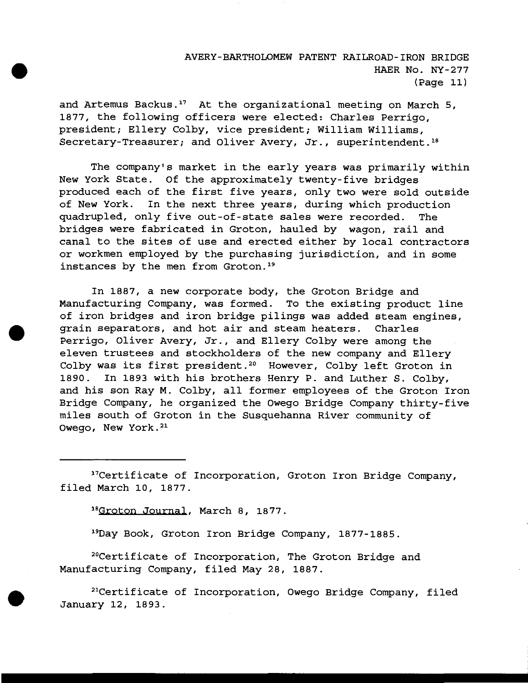# AVERY-BARTHOLOMEW PATENT RAILROAD-IRON BRIDGE HAER No. NY-277 (Page 11)

and Artemus Backus.<sup>17</sup> At the organizational meeting on March 5, 1877, the following officers were elected: Charles Perrigo, president; Ellery Colby, vice president; William Williams, Secretary-Treasurer; and Oliver Avery, Jr., superintendent.<sup>18</sup>

The company's market in the early years was primarily within New York State. Of the approximately twenty-five bridges produced each of the first five years, only two were sold outside of New York. In the next three years, during which production quadrupled, only five out-of-state sales were recorded. The bridges were fabricated in Groton, hauled by wagon, rail and canal to the sites of use and erected either by local contractors or workmen employed by the purchasing jurisdiction, and in some instances by the men from Groton.<sup>19</sup>

In 1887, a new corporate body, the Groton Bridge and Manufacturing Company, was formed. To the existing product line of iron bridges and iron bridge pilings was added steam engines, grain separators, and hot air and steam heaters. Charles Perrigo, Oliver Avery, Jr., and Ellery Colby were among the eleven trustees and stockholders of the new company and Ellery Colby was its first president.<sup>20</sup> However, Colby left Groton in 1890. In 1893 with his brothers Henry P. and Luther S. Colby, and his son Ray M. Colby, all former employees of the Groton Iron Bridge Company, he organized the Owego Bridge Company thirty-five miles south of Groton in the Susquehanna River community of Owego, New York.<sup>21</sup>

17Certificate of Incorporation, Groton Iron Bridge Company, filed March 10, 1877.

<sup>18</sup>Groton Journal, March 8, 1877.

<sup>19</sup>Day Book, Groton Iron Bridge Company, 1877-1885.

<sup>20</sup>Certificate of Incorporation, The Groton Bridge and Manufacturing Company, filed May 28, 1887.

<sup>21</sup>Certificate of Incorporation, Owego Bridge Company, filed January 12, 1893.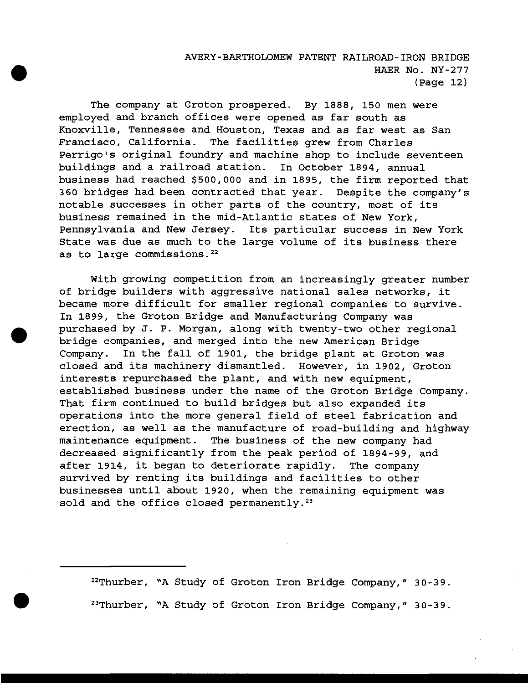# AVERY-BARTHOLOMEW PATENT RAILROAD-IRON BRIDGE HAER No. NY-277  $(Paqe 12)$

The company at Groton prospered. By 1888, 150 men were employed and branch offices were opened as far south as Knoxville, Tennessee and Houston, Texas and as far west as San Francisco, California. The facilities grew from Charles Perrigo's original foundry and machine shop to include seventeen buildings and a railroad station. In October 1894, annual business had reached \$500,000 and in 1895, the firm reported that 360 bridges had been contracted that year. Despite the company's notable successes in other parts of the country, most of its business remained in the mid-Atlantic states of New York, Pennsylvania and New Jersey. Its particular success in New York State was due as much to the large volume of its business there as to large commissions.<sup>22</sup>

With growing competition from an increasingly greater number of bridge builders with aggressive national sales networks, it became more difficult for smaller regional companies to survive. In 1899, the Groton Bridge and Manufacturing Company was purchased by J. P. Morgan, along with twenty-two other regional bridge companies, and merged into the new American Bridge Company. In the fall of 1901, the bridge plant at Groton was closed and its machinery dismantled. However, in 1902, Groton interests repurchased the plant, and with new equipment, established business under the name of the Groton Bridge Company. That firm continued to build bridges but also expanded its operations into the more general field of steel fabrication and erection, as well as the manufacture of road-building and highway maintenance equipment. The business of the new company had decreased significantly from the peak period of 1894-99, and after 1914, it began to deteriorate rapidly. The company survived by renting its buildings and facilities to other businesses until about 1920, when the remaining equipment was sold and the office closed permanently. $23$ 

22Thurber, \*A Study of Groton Iron Bridge Company," 30-39. <sup>23</sup>Thurber, \*A Study of Groton Iron Bridge Company," 30-39.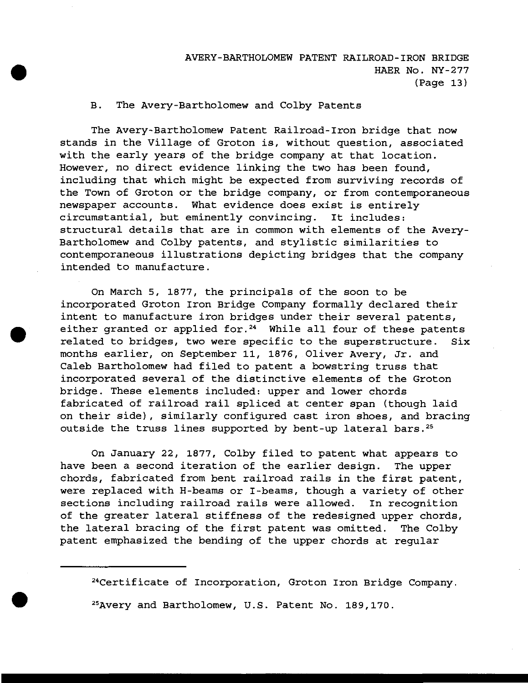## B. The Avery-Bartholomew and Colby Patents

The Avery-Bartholomew Patent Railroad-Iron bridge that now stands in the Village of Groton is, without question, associated with the early years of the bridge company at that location. However, no direct evidence linking the two has been found, including that which might be expected from surviving records of the Town of Groton or the bridge company, or from contemporaneous newspaper accounts. What evidence does exist is entirely circumstantial, but eminently convincing. It includes: structural details that are in common with elements of the Avery-Bartholomew and Colby patents, and stylistic similarities to contemporaneous illustrations depicting bridges that the company intended to manufacture.

On March 5, 1877, the principals of the soon to be incorporated Groton Iron Bridge Company formally declared their intent to manufacture iron bridges under their several patents, either granted or applied for.<sup>24</sup> While all four of these patents related to bridges, two were specific to the superstructure. Six months earlier, on September 11, 1876, Oliver Avery, Jr. and Caleb Bartholomew had filed to patent a bowstring truss that incorporated several of the distinctive elements of the Groton bridge. These elements included: upper and lower chords fabricated of railroad rail spliced at center span (though laid on their side), similarly configured cast iron shoes, and bracing outside the truss lines supported by bent-up lateral bars.<sup>25</sup>

On January 22, 1877, Colby filed to patent what appears to have been a second iteration of the earlier design. The upper chords, fabricated from bent railroad rails in the first patent, were replaced with H-beams or I-beams, though a variety of other sections including railroad rails were allowed. In recognition of the greater lateral stiffness of the redesigned upper chords, the lateral bracing of the first patent was omitted. The Colby patent emphasized the bending of the upper chords at regular

<sup>24</sup>Certificate of Incorporation, Groton Iron Bridge Company. <sup>25</sup>Avery and Bartholomew, U.S. Patent No. 189,170.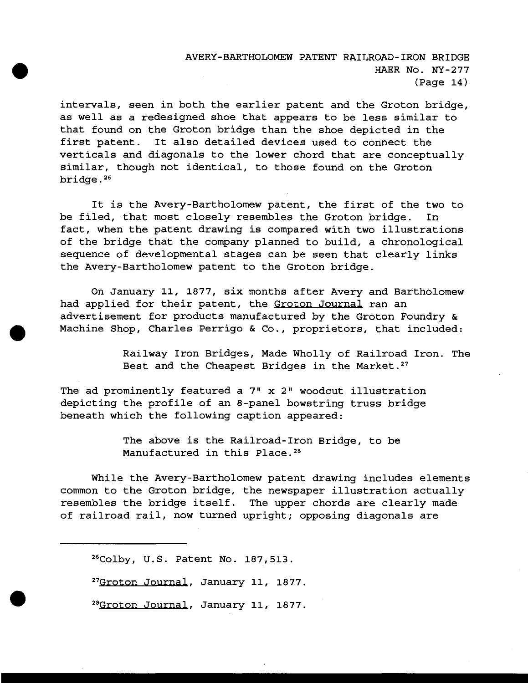# AVERY-BARTHOLOMEW PATENT RAILROAD-IRON BRIDGE HAER No. NY-277 (Page 14)

intervals, seen in both the earlier patent and the Groton bridge, as well as a redesigned shoe that appears to be less similar to that found on the Groton bridge than the shoe depicted in the first patent. It also detailed devices used to connect the verticals and diagonals to the lower chord that are conceptually similar, though not identical, to those found on the Groton bridge.<sup>26</sup>

It is the Avery-Bartholomew patent, the first of the two to be filed, that most closely resembles the Groton bridge. In fact, when the patent drawing is compared with two illustrations of the bridge that the company planned to build, a chronological sequence of developmental stages can be seen that clearly links the Avery-Bartholomew patent to the Groton bridge.

On January 11, 1877, six months after Avery and Bartholomew had applied for their patent, the Groton Journal ran an advertisement for products manufactured by the Groton Foundry & Machine Shop, Charles Perrigo & Co., proprietors, that included:

> Railway Iron Bridges, Made Wholly of Railroad Iron. The Best and the Cheapest Bridges in the Market.<sup>27</sup>

The ad prominently featured a 7" x 2" woodcut illustration depicting the profile of an 8-panel bowstring truss bridge beneath which the following caption appeared:

> The above is the Railroad-Iron Bridge, to be Manufactured in this Place.<sup>28</sup>

While the Avery-Bartholomew patent drawing includes elements common to the Groton bridge, the newspaper illustration actually resembles the bridge itself. The upper chords are clearly made of railroad rail, now turned upright; opposing diagonals are

<sup>26</sup>Colby, U.S. Patent No. 187,513.

<sup>27</sup>Groton Journal, January 11, 1877.

<sup>28</sup>Groton Journal, January 11, 1877.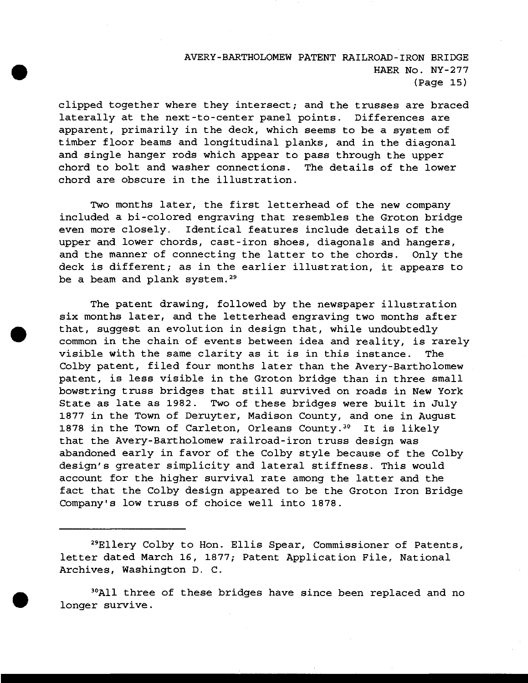# AVERY-BARTHOLOMEW PATENT RAILROAD-IRON BRIDGE HAER No. NY-277  $(Paqe 15)$

clipped together where they intersect; and the trusses are braced laterally at the next-to-center panel points. Differences are apparent, primarily in the deck, which seems to be a system of timber floor beams and longitudinal planks, and in the diagonal and single hanger rods which appear to pass through the upper chord to bolt and washer connections. The details of the lower chord are obscure in the illustration.

Two months later, the first letterhead of the new company included a bi-colored engraving that resembles the Groton bridge even more closely. Identical features include details of the upper and lower chords, cast-iron shoes, diagonals and hangers, and the manner of connecting the latter to the chords. Only the deck is different; as in the earlier illustration, it appears to be a beam and plank system.<sup>29</sup>

The patent drawing, followed by the newspaper illustration six months later, and the letterhead engraving two months after that, suggest an evolution in design that, while undoubtedly common in the chain of events between idea and reality, is rarely visible with the same clarity as it is in this instance. The Colby patent, filed four months later than the Avery-Bartholomew patent, is less visible in the Groton bridge than in three small bowstring truss bridges that still survived on roads in New York State as late as 1982. Two of these bridges were built in July 1877 in the Town of Deruyter, Madison County, and one in August 1878 in the Town of Carleton, Orleans County.<sup>30</sup> It is likely that the Avery-Bartholomew railroad-iron truss design was abandoned early in favor of the Colby style because of the Colby design's greater simplicity and lateral stiffness. This would account for the higher survival rate among the latter and the fact that the Colby design appeared to be the Groton Iron Bridge Company's low truss of choice well into 1878.

<sup>29</sup>Ellery Colby to Hon. Ellis Spear, Commissioner of Patents, letter dated March 16, 1877; Patent Application File, National Archives, Washington D. C.

<sup>30</sup>All three of these bridges have since been replaced and no longer survive.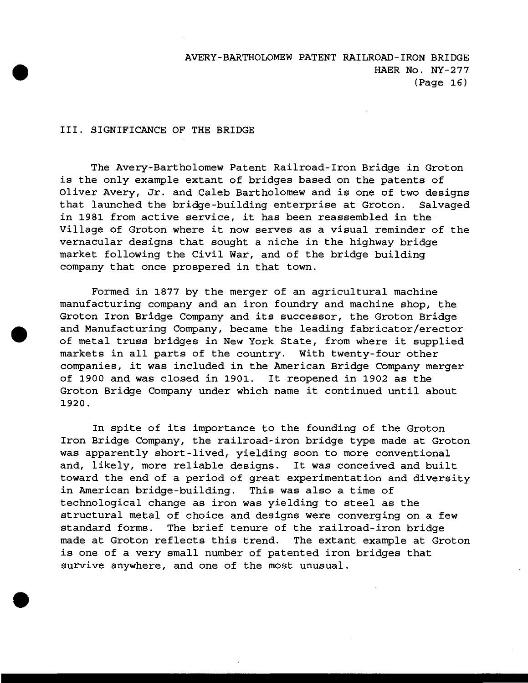### III. SIGNIFICANCE OF THE BRIDGE

The Avery-Bartholomew Patent Railroad-Iron Bridge in Groton is the only example extant of bridges based on the patents of Oliver Avery, Jr. and Caleb Bartholomew and is one of two designs that launched the bridge-building enterprise at Groton. Salvaged in 1981 from active service, it has been reassembled in the Village of Groton where it now serves as a visual reminder of the vernacular designs that sought a niche in the highway bridge market following the Civil War, and of the bridge building company that once prospered in that town.

Formed in 1877 by the merger of an agricultural machine manufacturing company and an iron foundry and machine shop, the Groton Iron Bridge Company and its successor, the Groton Bridge and Manufacturing Company, became the leading fabricator/erector of metal truss bridges in New York State, from where it supplied markets in all parts of the country. With twenty-four other companies, it was included in the American Bridge Company merger of 1900 and was closed in 1901. It reopened in 1902 as the Groton Bridge Company under which name it continued until about 1920.

In spite of its importance to the founding of the Groton Iron Bridge Company, the railroad-iron bridge type made at Groton was apparently short-lived, yielding soon to more conventional and, likely, more reliable designs. It was conceived and built toward the end of a period of great experimentation and diversity in American bridge-building. This was also a time of technological change as iron was yielding to steel as the structural metal of choice and designs were converging on a few standard forms. The brief tenure of the railroad-iron bridge made at Groton reflects this trend. The extant example at Groton is one of a very small number of patented iron bridges that survive anywhere, and one of the most unusual.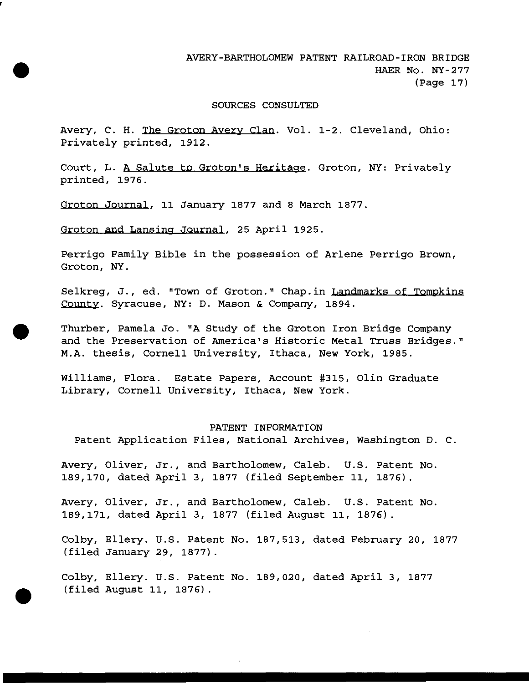### SOURCES CONSULTED

Avery, C. H. The Groton Avery Clan. Vol. 1-2. Cleveland, Ohio: Privately printed, 1912.

Court, L. A Salute to Groton's Heritage. Groton, NY: Privately printed, 1976.

Groton Journal. 11 January 1877 and <sup>8</sup> March 1877.

Groton and Lansing Journal. 25 April 1925.

Perrigo Family Bible in the possession of Arlene Perrigo Brown, Groton, NY.

Selkreg, J., ed. "Town of Groton." Chap.in Landmarks of Tompkins County. Syracuse, NY: D. Mason & Company, 1894.

Thurber, Pamela Jo. "A Study of the Groton Iron Bridge Company and the Preservation of America's Historic Metal Truss Bridges." M.A. thesis, Cornell University, Ithaca, New York, 1985.

Williams, Flora. Estate Papers, Account #315, Olin Graduate Library, Cornell University, Ithaca, New York.

### PATENT INFORMATION

Patent Application Files, National Archives, Washington D. C.

Avery, Oliver, Jr., and Bartholomew, Caleb. U.S. Patent No. 189.170, dated April 3, 1877 (filed September 11, 1876).

Avery, Oliver, Jr., and Bartholomew, Caleb. U.S. Patent No. 189.171, dated April 3, 1877 (filed August 11, 1876).

Colby, Ellery. U.S. Patent No. 187,513, dated February 20, 1877 (filed January 29, 1877).

Colby, Ellery. U.S. Patent No. 189,020, dated April 3, 1877 (filed August 11, 1876) .